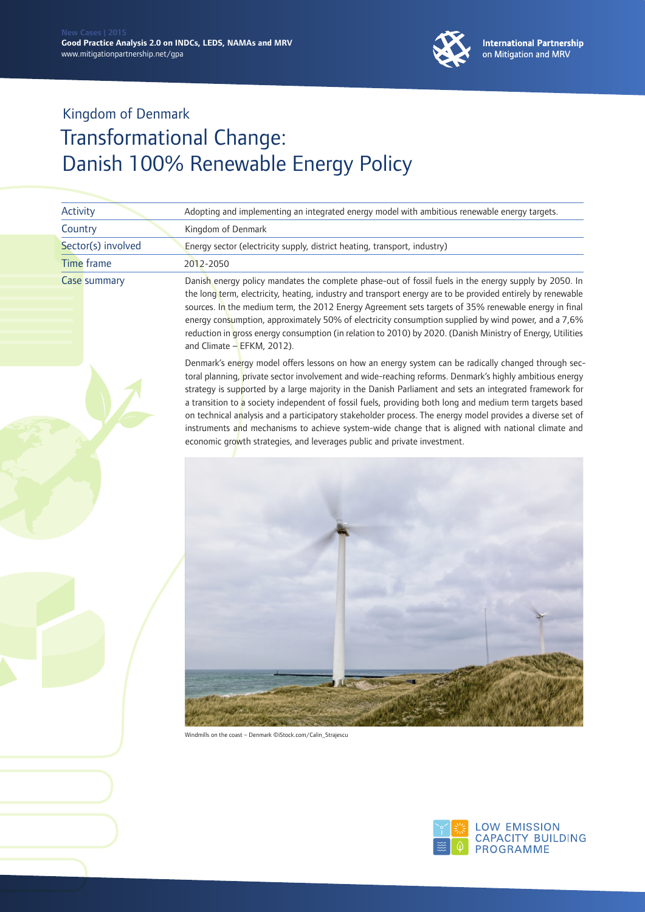

| Activity           | Adopting and implementing an integrated energy model with ambitious renewable energy targets.                                                                                                                                                                                                                                                                                                                                                                                                                                                                                                                                                                                                                                        |
|--------------------|--------------------------------------------------------------------------------------------------------------------------------------------------------------------------------------------------------------------------------------------------------------------------------------------------------------------------------------------------------------------------------------------------------------------------------------------------------------------------------------------------------------------------------------------------------------------------------------------------------------------------------------------------------------------------------------------------------------------------------------|
| Country            | Kingdom of Denmark                                                                                                                                                                                                                                                                                                                                                                                                                                                                                                                                                                                                                                                                                                                   |
| Sector(s) involved | Energy sector (electricity supply, district heating, transport, industry)                                                                                                                                                                                                                                                                                                                                                                                                                                                                                                                                                                                                                                                            |
| <b>Time frame</b>  | 2012-2050                                                                                                                                                                                                                                                                                                                                                                                                                                                                                                                                                                                                                                                                                                                            |
| Case summary       | Danish energy policy mandates the complete phase-out of fossil fuels in the energy supply by 2050. In<br>the long term, electricity, heating, industry and transport energy are to be provided entirely by renewable<br>sources. In the medium term, the 2012 Energy Agreement sets targets of 35% renewable energy in final<br>energy consumption, approximately 50% of electricity consumption supplied by wind power, and a 7,6%<br>reduction in gross energy consumption (in relation to 2010) by 2020. (Danish Ministry of Energy, Utilities<br>and Climate - EFKM, 2012).                                                                                                                                                      |
|                    | Denmark's energy model offers lessons on how an energy system can be radically changed through sec-<br>toral planning, private sector involvement and wide-reaching reforms. Denmark's highly ambitious energy<br>strategy is supported by a large majority in the Danish Parliament and sets an integrated framework for<br>a transition to a society independent of fossil fuels, providing both long and medium term targets based<br>on technical analysis and a participatory stakeholder process. The energy model provides a diverse set of<br>instruments and mechanisms to achieve system-wide change that is aligned with national climate and<br>economic growth strategies, and leverages public and private investment. |
|                    | Windmills on the coast - Denmark ©iStock.com/Calin_Strajescu                                                                                                                                                                                                                                                                                                                                                                                                                                                                                                                                                                                                                                                                         |

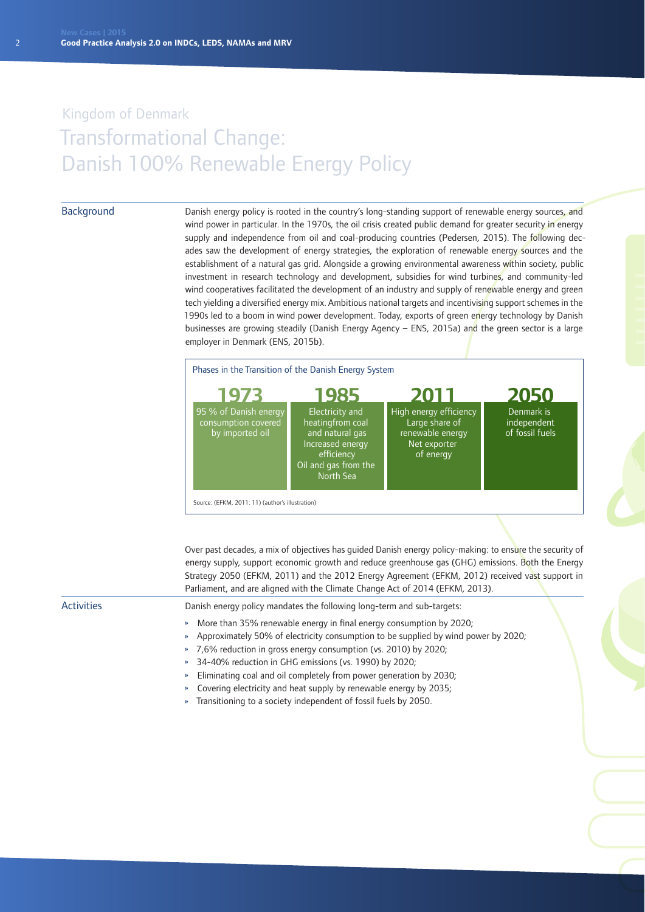#### **Background**

Danish energy policy is rooted in the country's long-standing support of renewable energy sources, and wind power in particular. In the 1970s, the oil crisis created public demand for greater security in energy supply and independence from oil and coal-producing countries (Pedersen, 2015). The following decades saw the development of energy strategies, the exploration of renewable energy sources and the establishment of a natural gas grid. Alongside a growing environmental awareness within society, public investment in research technology and development, subsidies for wind turbines, and community-led wind cooperatives facilitated the development of an industry and supply of renewable energy and green tech yielding a diversified energy mix. Ambitious national targets and incentivising support schemes in the 1990s led to a boom in wind power development. Today, exports of green energy technology by Danish businesses are growing steadily (Danish Energy Agency – ENS, 2015a) and the green sector is a large employer in Denmark (ENS, 2015b).



Over past decades, a mix of objectives has guided Danish energy policy-making: to ensure the security of energy supply, support economic growth and reduce greenhouse gas (GHG) emissions. Both the Energy Strategy 2050 (EFKM, 2011) and the 2012 Energy Agreement (EFKM, 2012) received vast support in Parliament, and are aligned with the Climate Change Act of 2014 (EFKM, 2013).

Activities

Danish energy policy mandates the following long-term and sub-targets:

- » More than 35% renewable energy in final energy consumption by 2020;
- » Approximately 50% of electricity consumption to be supplied by wind power by 2020;
- » 7,6% reduction in gross energy consumption (vs. 2010) by 2020;
- » 34-40% reduction in GHG emissions (vs. 1990) by 2020;
- » Eliminating coal and oil completely from power generation by 2030;
- » Covering electricity and heat supply by renewable energy by 2035;
- » Transitioning to a society independent of fossil fuels by 2050.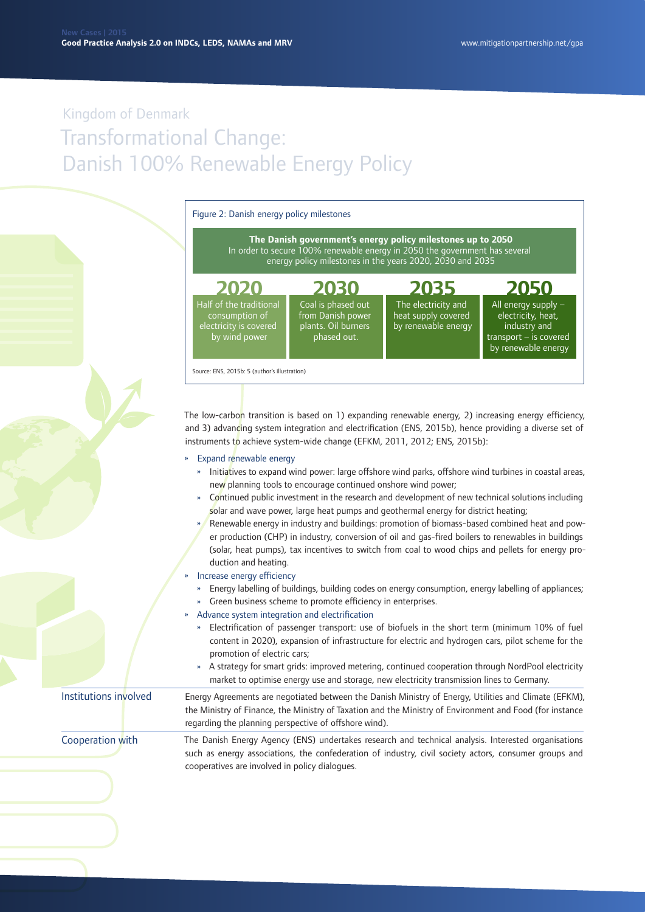

- » Continued public investment in the research and development of new technical solutions including solar and wave power, large heat pumps and geothermal energy for district heating;
- » Renewable energy in industry and buildings: promotion of biomass-based combined heat and power production (CHP) in industry, conversion of oil and gas-fired boilers to renewables in buildings (solar, heat pumps), tax incentives to switch from coal to wood chips and pellets for energy production and heating.
- » Increase energy efficiency
	- » Energy labelling of buildings, building codes on energy consumption, energy labelling of appliances;
	- Green business scheme to promote efficiency in enterprises.
- » Advance system integration and electrification
	- » Electrification of passenger transport: use of biofuels in the short term (minimum 10% of fuel content in 2020), expansion of infrastructure for electric and hydrogen cars, pilot scheme for the promotion of electric cars;
	- » A strategy for smart grids: improved metering, continued cooperation through NordPool electricity market to optimise energy use and storage, new electricity transmission lines to Germany.

Energy Agreements are negotiated between the Danish Ministry of Energy, Utilities and Climate (EFKM), the Ministry of Finance, the Ministry of Taxation and the Ministry of Environment and Food (for instance regarding the planning perspective of offshore wind). Institutions involved

The Danish Energy Agency (ENS) undertakes research and technical analysis. Interested organisations such as energy associations, the confederation of industry, civil society actors, consumer groups and cooperatives are involved in policy dialogues. Cooperation with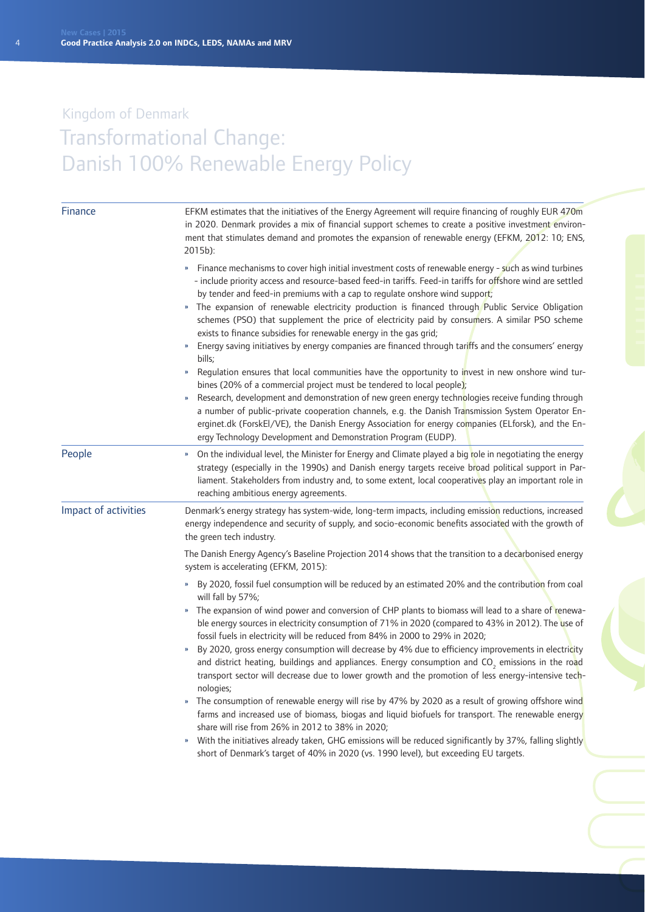| Finance              | EFKM estimates that the initiatives of the Energy Agreement will require financing of roughly EUR 470m<br>in 2020. Denmark provides a mix of financial support schemes to create a positive investment environ-<br>ment that stimulates demand and promotes the expansion of renewable energy (EFKM, 2012: 10; ENS,<br>$2015b$ :                                                                                                                                                                                                                                                                                                                                                                                                                                                                                                                                                                                                                                                                                                                                                                                                                                                                                                                                                                          |
|----------------------|-----------------------------------------------------------------------------------------------------------------------------------------------------------------------------------------------------------------------------------------------------------------------------------------------------------------------------------------------------------------------------------------------------------------------------------------------------------------------------------------------------------------------------------------------------------------------------------------------------------------------------------------------------------------------------------------------------------------------------------------------------------------------------------------------------------------------------------------------------------------------------------------------------------------------------------------------------------------------------------------------------------------------------------------------------------------------------------------------------------------------------------------------------------------------------------------------------------------------------------------------------------------------------------------------------------|
|                      | » Finance mechanisms to cover high initial investment costs of renewable energy - such as wind turbines<br>- include priority access and resource-based feed-in tariffs. Feed-in tariffs for offshore wind are settled<br>by tender and feed-in premiums with a cap to regulate onshore wind support;<br>» The expansion of renewable electricity production is financed through Public Service Obligation<br>schemes (PSO) that supplement the price of electricity paid by consumers. A similar PSO scheme<br>exists to finance subsidies for renewable energy in the gas grid;<br>Energy saving initiatives by energy companies are financed through tariffs and the consumers' energy<br>$\boldsymbol{\mathcal{W}}$<br>bills;<br>Regulation ensures that local communities have the opportunity to invest in new onshore wind tur-<br>»<br>bines (20% of a commercial project must be tendered to local people);<br>Research, development and demonstration of new green energy technologies receive funding through<br>»<br>a number of public-private cooperation channels, e.g. the Danish Transmission System Operator En-<br>erginet.dk (ForskEl/VE), the Danish Energy Association for energy companies (ELforsk), and the En-<br>ergy Technology Development and Demonstration Program (EUDP). |
| People               | On the individual level, the Minister for Energy and Climate played a big role in negotiating the energy<br>strategy (especially in the 1990s) and Danish energy targets receive broad political support in Par-<br>liament. Stakeholders from industry and, to some extent, local cooperatives play an important role in<br>reaching ambitious energy agreements.                                                                                                                                                                                                                                                                                                                                                                                                                                                                                                                                                                                                                                                                                                                                                                                                                                                                                                                                        |
| Impact of activities | Denmark's energy strategy has system-wide, long-term impacts, including emission reductions, increased<br>energy independence and security of supply, and socio-economic benefits associated with the growth of<br>the green tech industry.                                                                                                                                                                                                                                                                                                                                                                                                                                                                                                                                                                                                                                                                                                                                                                                                                                                                                                                                                                                                                                                               |
|                      | The Danish Energy Agency's Baseline Projection 2014 shows that the transition to a decarbonised energy<br>system is accelerating (EFKM, 2015):                                                                                                                                                                                                                                                                                                                                                                                                                                                                                                                                                                                                                                                                                                                                                                                                                                                                                                                                                                                                                                                                                                                                                            |
|                      | By 2020, fossil fuel consumption will be reduced by an estimated 20% and the contribution from coal<br>will fall by 57%;<br>The expansion of wind power and conversion of CHP plants to biomass will lead to a share of renewa-<br>$\boldsymbol{\mathcal{V}}$<br>ble energy sources in electricity consumption of 71% in 2020 (compared to 43% in 2012). The use of<br>fossil fuels in electricity will be reduced from 84% in 2000 to 29% in 2020;<br>By 2020, gross energy consumption will decrease by 4% due to efficiency improvements in electricity<br>$\boldsymbol{\mathcal{V}}$<br>and district heating, buildings and appliances. Energy consumption and CO <sub>2</sub> emissions in the road<br>transport sector will decrease due to lower growth and the promotion of less energy-intensive tech-<br>nologies;<br>The consumption of renewable energy will rise by 47% by 2020 as a result of growing offshore wind<br>»<br>farms and increased use of biomass, biogas and liquid biofuels for transport. The renewable energy<br>share will rise from 26% in 2012 to 38% in 2020;<br>With the initiatives already taken, GHG emissions will be reduced significantly by 37%, falling slightly<br>»<br>short of Denmark's target of 40% in 2020 (vs. 1990 level), but exceeding EU targets. |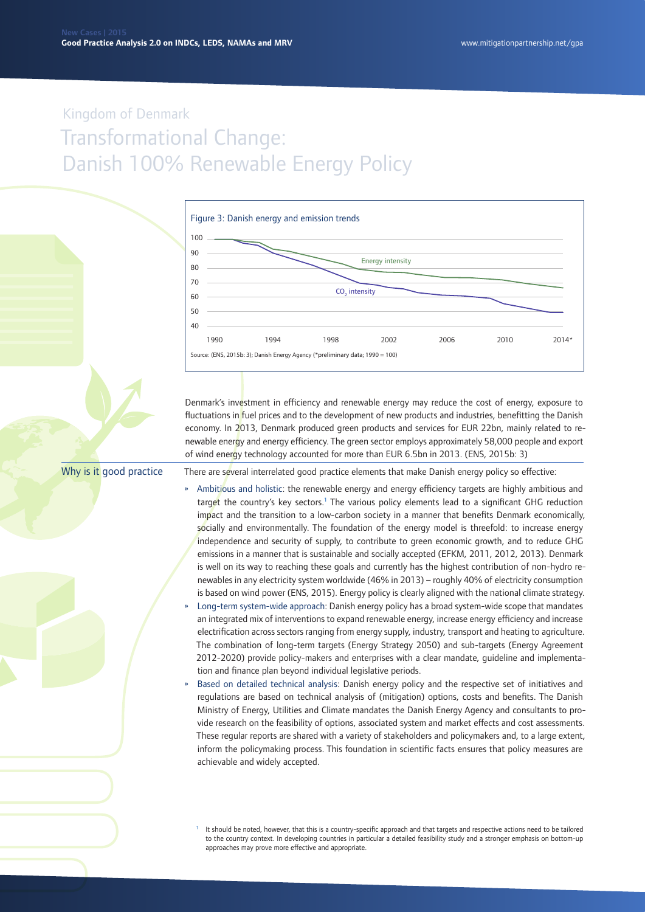

Denmark's investment in efficiency and renewable energy may reduce the cost of energy, exposure to fluctuations in fuel prices and to the development of new products and industries, benefitting the Danish economy. In 2013, Denmark produced green products and services for EUR 22bn, mainly related to renewable energy and energy efficiency. The green sector employs approximately 58,000 people and export of wind energy technology accounted for more than EUR 6.5bn in 2013. (ENS, 2015b: 3)

Why is it good practice

There are several interrelated good practice elements that make Danish energy policy so effective:

- » Ambitious and holistic: the renewable energy and energy efficiency targets are highly ambitious and target the country's key sectors.<sup>1</sup> The various policy elements lead to a significant GHG reduction impact and the transition to a low-carbon society in a manner that benefits Denmark economically, socially and environmentally. The foundation of the energy model is threefold: to increase energy independence and security of supply, to contribute to green economic growth, and to reduce GHG emissions in a manner that is sustainable and socially accepted (EFKM, 2011, 2012, 2013). Denmark is well on its way to reaching these goals and currently has the highest contribution of non-hydro renewables in any electricity system worldwide (46% in 2013) – roughly 40% of electricity consumption is based on wind power (ENS, 2015). Energy policy is clearly aligned with the national climate strategy.
- » Long-term system-wide approach: Danish energy policy has a broad system-wide scope that mandates an integrated mix of interventions to expand renewable energy, increase energy efficiency and increase electrification across sectors ranging from energy supply, industry, transport and heating to agriculture. The combination of long-term targets (Energy Strategy 2050) and sub-targets (Energy Agreement 2012-2020) provide policy-makers and enterprises with a clear mandate, guideline and implementation and finance plan beyond individual legislative periods.
- » Based on detailed technical analysis: Danish energy policy and the respective set of initiatives and regulations are based on technical analysis of (mitigation) options, costs and benefits. The Danish Ministry of Energy, Utilities and Climate mandates the Danish Energy Agency and consultants to provide research on the feasibility of options, associated system and market effects and cost assessments. These regular reports are shared with a variety of stakeholders and policymakers and, to a large extent, inform the policymaking process. This foundation in scientific facts ensures that policy measures are achievable and widely accepted.

It should be noted, however, that this is a country-specific approach and that targets and respective actions need to be tailored to the country context. In developing countries in particular a detailed feasibility study and a stronger emphasis on bottom-up approaches may prove more effective and appropriate.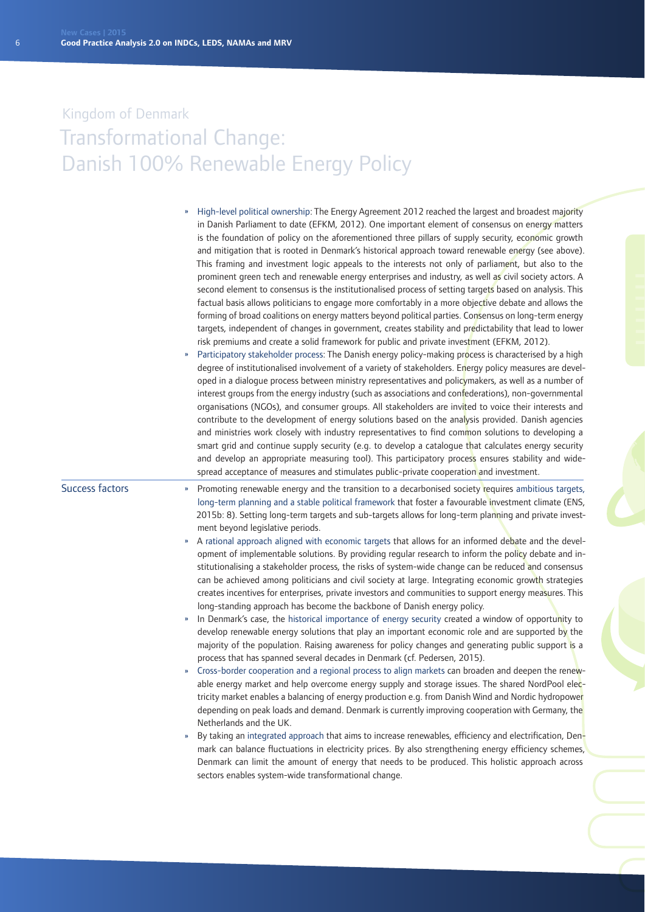|                        | High-level political ownership: The Energy Agreement 2012 reached the largest and broadest majority<br>in Danish Parliament to date (EFKM, 2012). One important element of consensus on energy matters<br>is the foundation of policy on the aforementioned three pillars of supply security, economic growth<br>and mitigation that is rooted in Denmark's historical approach toward renewable energy (see above).<br>This framing and investment logic appeals to the interests not only of parliament, but also to the<br>prominent green tech and renewable energy enterprises and industry, as well as civil society actors. A<br>second element to consensus is the institutionalised process of setting targets based on analysis. This<br>factual basis allows politicians to engage more comfortably in a more objective debate and allows the<br>forming of broad coalitions on energy matters beyond political parties. Consensus on long-term energy<br>targets, independent of changes in government, creates stability and predictability that lead to lower<br>risk premiums and create a solid framework for public and private investment (EFKM, 2012).<br>Participatory stakeholder process: The Danish energy policy-making process is characterised by a high<br>degree of institutionalised involvement of a variety of stakeholders. Energy policy measures are devel-<br>oped in a dialogue process between ministry representatives and policymakers, as well as a number of<br>interest groups from the energy industry (such as associations and confederations), non-governmental<br>organisations (NGOs), and consumer groups. All stakeholders are invited to voice their interests and<br>contribute to the development of energy solutions based on the analysis provided. Danish agencies<br>and ministries work closely with industry representatives to find common solutions to developing a<br>smart grid and continue supply security (e.g. to develop a catalogue that calculates energy security<br>and develop an appropriate measuring tool). This participatory process ensures stability and wide-<br>spread acceptance of measures and stimulates public-private cooperation and investment. |
|------------------------|-------------------------------------------------------------------------------------------------------------------------------------------------------------------------------------------------------------------------------------------------------------------------------------------------------------------------------------------------------------------------------------------------------------------------------------------------------------------------------------------------------------------------------------------------------------------------------------------------------------------------------------------------------------------------------------------------------------------------------------------------------------------------------------------------------------------------------------------------------------------------------------------------------------------------------------------------------------------------------------------------------------------------------------------------------------------------------------------------------------------------------------------------------------------------------------------------------------------------------------------------------------------------------------------------------------------------------------------------------------------------------------------------------------------------------------------------------------------------------------------------------------------------------------------------------------------------------------------------------------------------------------------------------------------------------------------------------------------------------------------------------------------------------------------------------------------------------------------------------------------------------------------------------------------------------------------------------------------------------------------------------------------------------------------------------------------------------------------------------------------------------------------------------------------------------------------------------------------------------------------|
| <b>Success factors</b> | Promoting renewable energy and the transition to a decarbonised society requires ambitious targets,<br>»<br>long-term planning and a stable political framework that foster a favourable investment climate (ENS,<br>2015b: 8). Setting long-term targets and sub-targets allows for long-term planning and private invest-<br>ment beyond legislative periods.                                                                                                                                                                                                                                                                                                                                                                                                                                                                                                                                                                                                                                                                                                                                                                                                                                                                                                                                                                                                                                                                                                                                                                                                                                                                                                                                                                                                                                                                                                                                                                                                                                                                                                                                                                                                                                                                           |
|                        | A rational approach aligned with economic targets that allows for an informed debate and the devel-<br>W.<br>opment of implementable solutions. By providing regular research to inform the policy debate and in-<br>stitutionalising a stakeholder process, the risks of system-wide change can be reduced and consensus<br>can be achieved among politicians and civil society at large. Integrating economic growth strategies<br>creates incentives for enterprises, private investors and communities to support energy measures. This<br>long-standing approach has become the backbone of Danish energy policy.<br>In Denmark's case, the historical importance of energy security created a window of opportunity to<br>»<br>develop renewable energy solutions that play an important economic role and are supported by the                                                                                                                                                                                                                                                                                                                                                                                                                                                                                                                                                                                                                                                                                                                                                                                                                                                                                                                                                                                                                                                                                                                                                                                                                                                                                                                                                                                                     |
|                        | majority of the population. Raising awareness for policy changes and generating public support is a<br>process that has spanned several decades in Denmark (cf. Pedersen, 2015).<br>Cross-border cooperation and a regional process to align markets can broaden and deepen the renew-<br>»<br>able energy market and help overcome energy supply and storage issues. The shared NordPool elec-<br>tricity market enables a balancing of energy production e.g. from Danish Wind and Nordic hydropower<br>depending on peak loads and demand. Denmark is currently improving cooperation with Germany, the<br>Netherlands and the UK.                                                                                                                                                                                                                                                                                                                                                                                                                                                                                                                                                                                                                                                                                                                                                                                                                                                                                                                                                                                                                                                                                                                                                                                                                                                                                                                                                                                                                                                                                                                                                                                                     |
|                        | By taking an integrated approach that aims to increase renewables, efficiency and electrification, Den-<br>»<br>mark can balance fluctuations in electricity prices. By also strengthening energy efficiency schemes,<br>Denmark can limit the amount of energy that needs to be produced. This holistic approach across<br>sectors enables system-wide transformational change.                                                                                                                                                                                                                                                                                                                                                                                                                                                                                                                                                                                                                                                                                                                                                                                                                                                                                                                                                                                                                                                                                                                                                                                                                                                                                                                                                                                                                                                                                                                                                                                                                                                                                                                                                                                                                                                          |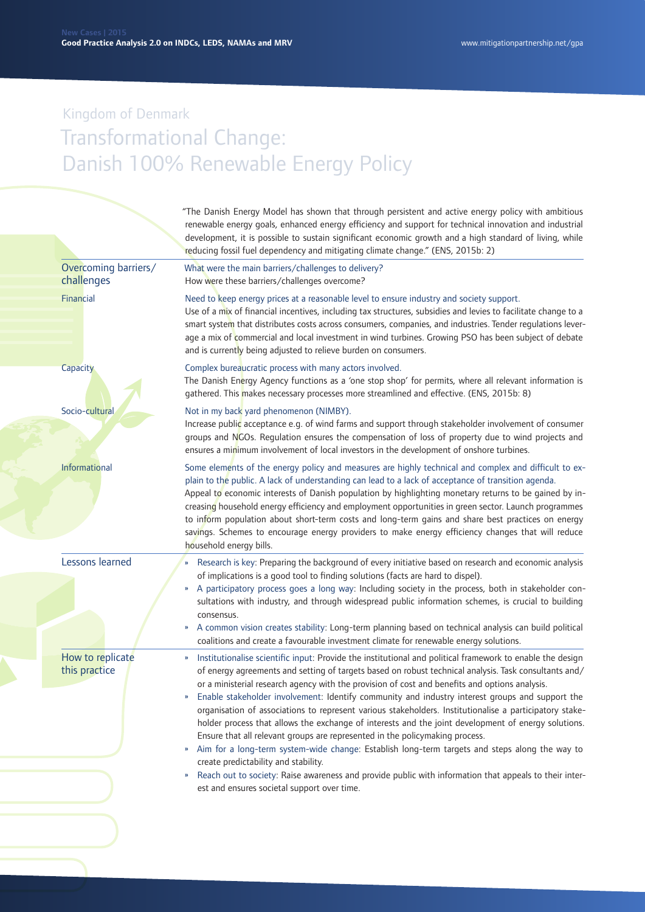|                                    | "The Danish Energy Model has shown that through persistent and active energy policy with ambitious<br>renewable energy goals, enhanced energy efficiency and support for technical innovation and industrial<br>development, it is possible to sustain significant economic growth and a high standard of living, while<br>reducing fossil fuel dependency and mitigating climate change." (ENS, 2015b: 2)                                                                                                                                                                                                                                                                                                                                                                                                                                                                                                                                                                                                                                                                                                             |
|------------------------------------|------------------------------------------------------------------------------------------------------------------------------------------------------------------------------------------------------------------------------------------------------------------------------------------------------------------------------------------------------------------------------------------------------------------------------------------------------------------------------------------------------------------------------------------------------------------------------------------------------------------------------------------------------------------------------------------------------------------------------------------------------------------------------------------------------------------------------------------------------------------------------------------------------------------------------------------------------------------------------------------------------------------------------------------------------------------------------------------------------------------------|
| Overcoming barriers/<br>challenges | What were the main barriers/challenges to delivery?<br>How were these barriers/challenges overcome?                                                                                                                                                                                                                                                                                                                                                                                                                                                                                                                                                                                                                                                                                                                                                                                                                                                                                                                                                                                                                    |
| Financial                          | Need to keep energy prices at a reasonable level to ensure industry and society support.<br>Use of a mix of financial incentives, including tax structures, subsidies and levies to facilitate change to a<br>smart system that distributes costs across consumers, companies, and industries. Tender regulations lever-<br>age a mix of commercial and local investment in wind turbines. Growing PSO has been subject of debate<br>and is currently being adjusted to relieve burden on consumers.                                                                                                                                                                                                                                                                                                                                                                                                                                                                                                                                                                                                                   |
| Capacity                           | Complex bureaucratic process with many actors involved.<br>The Danish Energy Agency functions as a 'one stop shop' for permits, where all relevant information is<br>gathered. This makes necessary processes more streamlined and effective. (ENS, 2015b: 8)                                                                                                                                                                                                                                                                                                                                                                                                                                                                                                                                                                                                                                                                                                                                                                                                                                                          |
| Socio-cultural                     | Not in my back yard phenomenon (NIMBY).<br>Increase public acceptance e.g. of wind farms and support through stakeholder involvement of consumer<br>groups and NGOs. Regulation ensures the compensation of loss of property due to wind projects and<br>ensures a minimum involvement of local investors in the development of onshore turbines.                                                                                                                                                                                                                                                                                                                                                                                                                                                                                                                                                                                                                                                                                                                                                                      |
| Informational                      | Some elements of the energy policy and measures are highly technical and complex and difficult to ex-<br>plain to the public. A lack of understanding can lead to a lack of acceptance of transition agenda.<br>Appeal to economic interests of Danish population by highlighting monetary returns to be gained by in-<br>creasing household energy efficiency and employment opportunities in green sector. Launch programmes<br>to inform population about short-term costs and long-term gains and share best practices on energy<br>savings. Schemes to encourage energy providers to make energy efficiency changes that will reduce<br>household energy bills.                                                                                                                                                                                                                                                                                                                                                                                                                                                   |
| Lessons learned                    | Research is key: Preparing the background of every initiative based on research and economic analysis<br>of implications is a good tool to finding solutions (facts are hard to dispel).<br>» A participatory process goes a long way: Including society in the process, both in stakeholder con-<br>sultations with industry, and through widespread public information schemes, is crucial to building<br>consensus.<br>A common vision creates stability: Long-term planning based on technical analysis can build political<br>$\boldsymbol{\mathcal{Y}}$<br>coalitions and create a favourable investment climate for renewable energy solutions.                                                                                                                                                                                                                                                                                                                                                                                                                                                                 |
| How to replicate<br>this practice  | Institutionalise scientific input: Provide the institutional and political framework to enable the design<br>$\boldsymbol{\mathcal{V}}$<br>of energy agreements and setting of targets based on robust technical analysis. Task consultants and/<br>or a ministerial research agency with the provision of cost and benefits and options analysis.<br>Enable stakeholder involvement: Identify community and industry interest groups and support the<br>organisation of associations to represent various stakeholders. Institutionalise a participatory stake-<br>holder process that allows the exchange of interests and the joint development of energy solutions.<br>Ensure that all relevant groups are represented in the policymaking process.<br>Aim for a long-term system-wide change: Establish long-term targets and steps along the way to<br>$\boldsymbol{\mathcal{V}}$<br>create predictability and stability.<br>Reach out to society: Raise awareness and provide public with information that appeals to their inter-<br>$\boldsymbol{\mathcal{V}}$<br>est and ensures societal support over time. |
|                                    |                                                                                                                                                                                                                                                                                                                                                                                                                                                                                                                                                                                                                                                                                                                                                                                                                                                                                                                                                                                                                                                                                                                        |